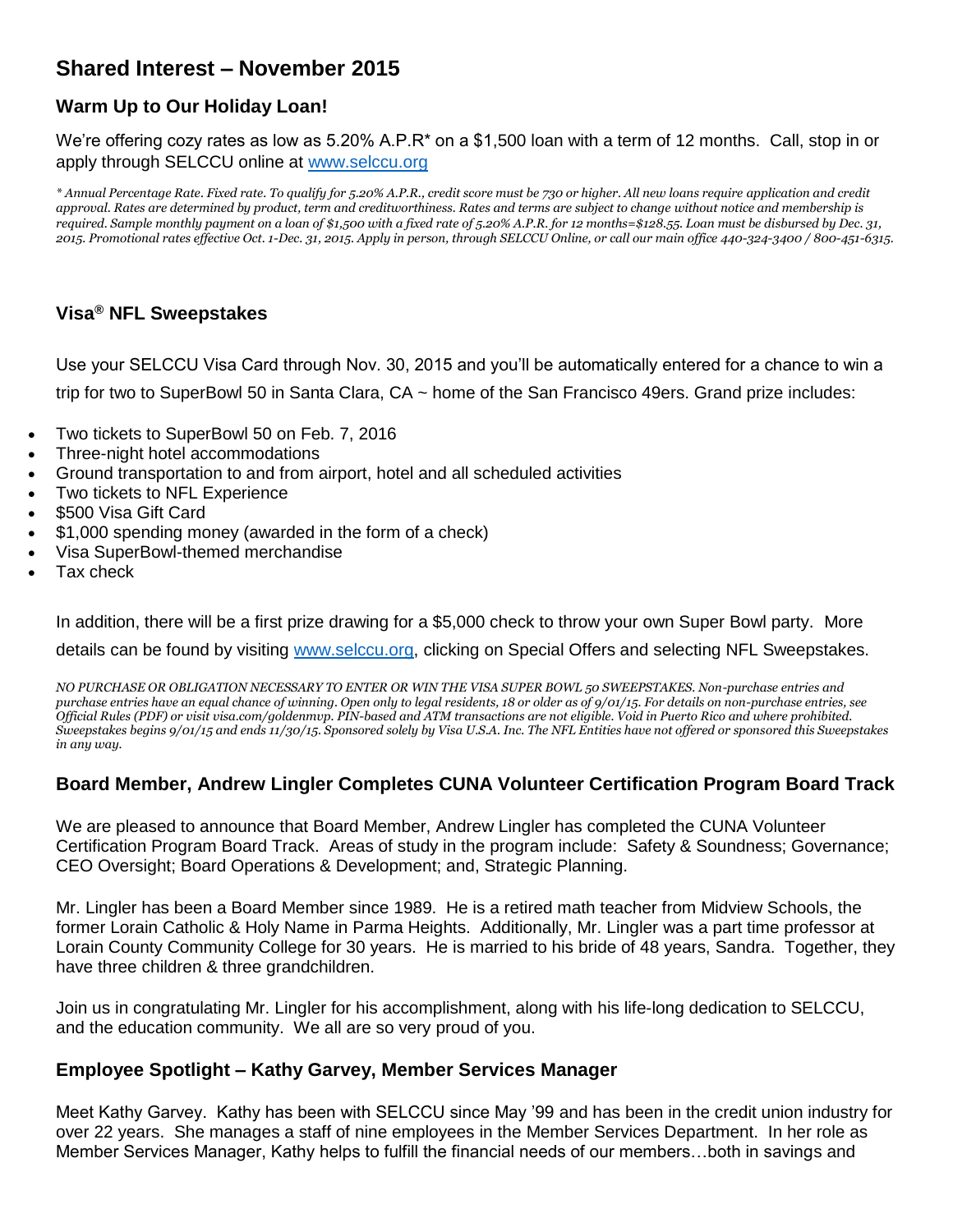# **Shared Interest – November 2015**

# **Warm Up to Our Holiday Loan!**

We're offering cozy rates as low as 5.20% A.P.R\* on a \$1,500 loan with a term of 12 months. Call, stop in or apply through SELCCU online at [www.selccu.org](http://www.selccu.org/)

*\* Annual Percentage Rate. Fixed rate. To qualify for 5.20% A.P.R., credit score must be 730 or higher. All new loans require application and credit approval. Rates are determined by product, term and creditworthiness. Rates and terms are subject to change without notice and membership is required. Sample monthly payment on a loan of \$1,500 with a fixed rate of 5.20% A.P.R. for 12 months=\$128.55. Loan must be disbursed by Dec. 31, 2015. Promotional rates effective Oct. 1-Dec. 31, 2015. Apply in person, through SELCCU Online, or call our main office 440-324-3400 / 800-451-6315.*

### **Visa® NFL Sweepstakes**

Use your SELCCU Visa Card through Nov. 30, 2015 and you'll be automatically entered for a chance to win a trip for two to SuperBowl 50 in Santa Clara, CA ~ home of the San Francisco 49ers. Grand prize includes:

- Two tickets to SuperBowl 50 on Feb. 7, 2016
- Three-night hotel accommodations
- Ground transportation to and from airport, hotel and all scheduled activities
- Two tickets to NFL Experience
- \$500 Visa Gift Card
- \$1,000 spending money (awarded in the form of a check)
- Visa SuperBowl-themed merchandise
- Tax check

In addition, there will be a first prize drawing for a \$5,000 check to throw your own Super Bowl party. More

details can be found by visiting [www.selccu.org,](http://www.selccu.org/) clicking on Special Offers and selecting NFL Sweepstakes.

*NO PURCHASE OR OBLIGATION NECESSARY TO ENTER OR WIN THE VISA SUPER BOWL 50 SWEEPSTAKES. Non-purchase entries and purchase entries have an equal chance of winning. Open only to legal residents, 18 or older as of 9/01/15. For details on non-purchase entries, see Official Rules (PDF) or visit visa.com/goldenmvp. PIN-based and ATM transactions are not eligible. Void in Puerto Rico and where prohibited. Sweepstakes begins 9/01/15 and ends 11/30/15. Sponsored solely by Visa U.S.A. Inc. The NFL Entities have not offered or sponsored this Sweepstakes in any way.*

#### **Board Member, Andrew Lingler Completes CUNA Volunteer Certification Program Board Track**

We are pleased to announce that Board Member, Andrew Lingler has completed the CUNA Volunteer Certification Program Board Track. Areas of study in the program include: Safety & Soundness; Governance; CEO Oversight; Board Operations & Development; and, Strategic Planning.

Mr. Lingler has been a Board Member since 1989. He is a retired math teacher from Midview Schools, the former Lorain Catholic & Holy Name in Parma Heights. Additionally, Mr. Lingler was a part time professor at Lorain County Community College for 30 years. He is married to his bride of 48 years, Sandra. Together, they have three children & three grandchildren.

Join us in congratulating Mr. Lingler for his accomplishment, along with his life-long dedication to SELCCU, and the education community. We all are so very proud of you.

#### **Employee Spotlight – Kathy Garvey, Member Services Manager**

Meet Kathy Garvey. Kathy has been with SELCCU since May '99 and has been in the credit union industry for over 22 years. She manages a staff of nine employees in the Member Services Department. In her role as Member Services Manager, Kathy helps to fulfill the financial needs of our members…both in savings and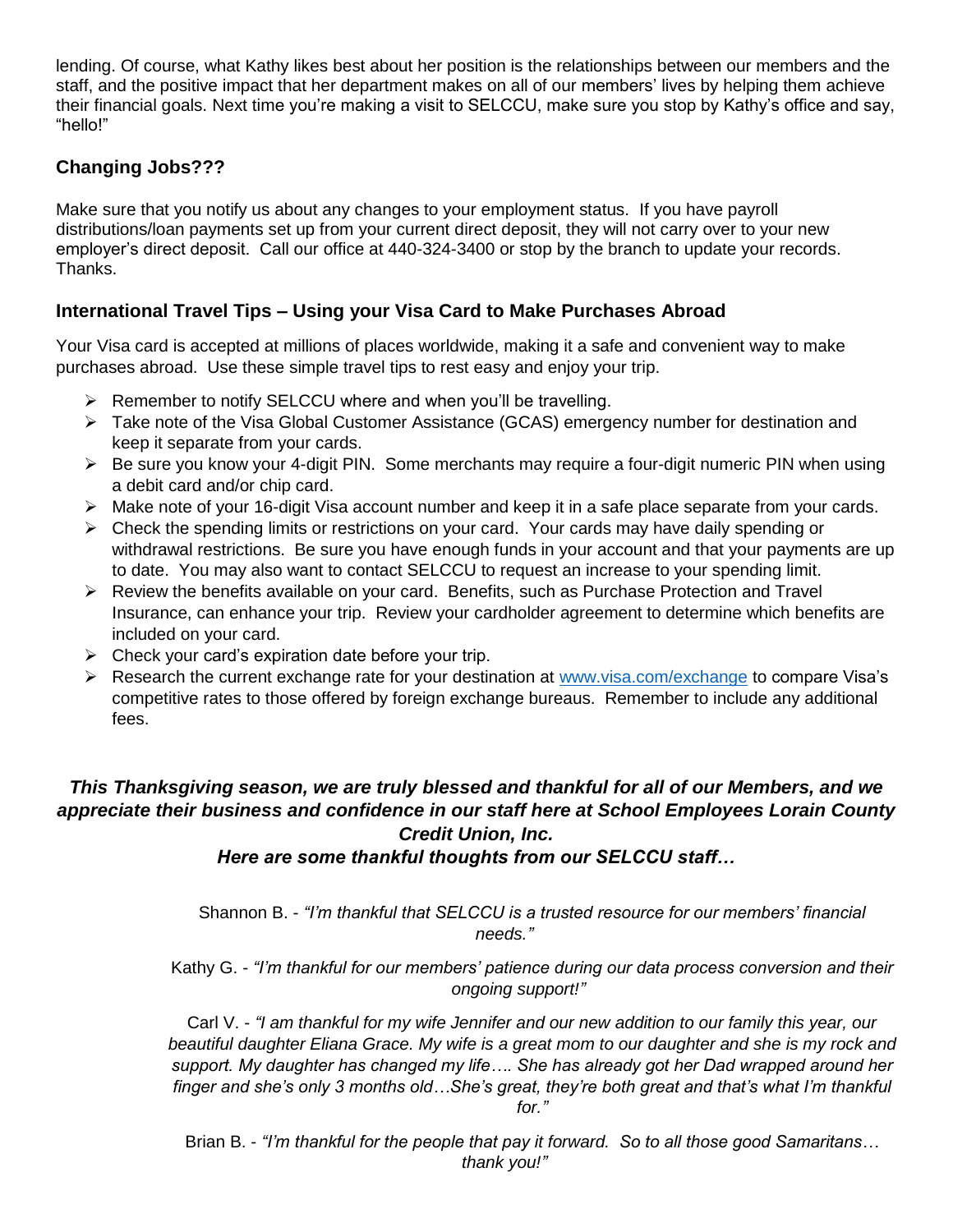lending. Of course, what Kathy likes best about her position is the relationships between our members and the staff, and the positive impact that her department makes on all of our members' lives by helping them achieve their financial goals. Next time you're making a visit to SELCCU, make sure you stop by Kathy's office and say, "hello!"

## **Changing Jobs???**

Make sure that you notify us about any changes to your employment status. If you have payroll distributions/loan payments set up from your current direct deposit, they will not carry over to your new employer's direct deposit. Call our office at 440-324-3400 or stop by the branch to update your records. Thanks.

## **International Travel Tips – Using your Visa Card to Make Purchases Abroad**

Your Visa card is accepted at millions of places worldwide, making it a safe and convenient way to make purchases abroad. Use these simple travel tips to rest easy and enjoy your trip.

- $\triangleright$  Remember to notify SELCCU where and when you'll be travelling.
- ▶ Take note of the Visa Global Customer Assistance (GCAS) emergency number for destination and keep it separate from your cards.
- $\triangleright$  Be sure you know your 4-digit PIN. Some merchants may require a four-digit numeric PIN when using a debit card and/or chip card.
- Make note of your 16-digit Visa account number and keep it in a safe place separate from your cards.
- $\triangleright$  Check the spending limits or restrictions on your card. Your cards may have daily spending or withdrawal restrictions. Be sure you have enough funds in your account and that your payments are up to date. You may also want to contact SELCCU to request an increase to your spending limit.
- Review the benefits available on your card. Benefits, such as Purchase Protection and Travel Insurance, can enhance your trip. Review your cardholder agreement to determine which benefits are included on your card.
- $\triangleright$  Check your card's expiration date before your trip.
- Research the current exchange rate for your destination at [www.visa.com/exchange](http://www.visa.com/exchange) to compare Visa's competitive rates to those offered by foreign exchange bureaus. Remember to include any additional fees.

### *This Thanksgiving season, we are truly blessed and thankful for all of our Members, and we appreciate their business and confidence in our staff here at School Employees Lorain County Credit Union, Inc.*

#### *Here are some thankful thoughts from our SELCCU staff…*

Shannon B. - *"I'm thankful that SELCCU is a trusted resource for our members' financial needs."*

Kathy G. - *"I'm thankful for our members' patience during our data process conversion and their ongoing support!"*

Carl V. - *"I am thankful for my wife Jennifer and our new addition to our family this year, our beautiful daughter Eliana Grace. My wife is a great mom to our daughter and she is my rock and support. My daughter has changed my life…. She has already got her Dad wrapped around her finger and she's only 3 months old…She's great, they're both great and that's what I'm thankful for."*

Brian B. - *"I'm thankful for the people that pay it forward. So to all those good Samaritans… thank you!"*